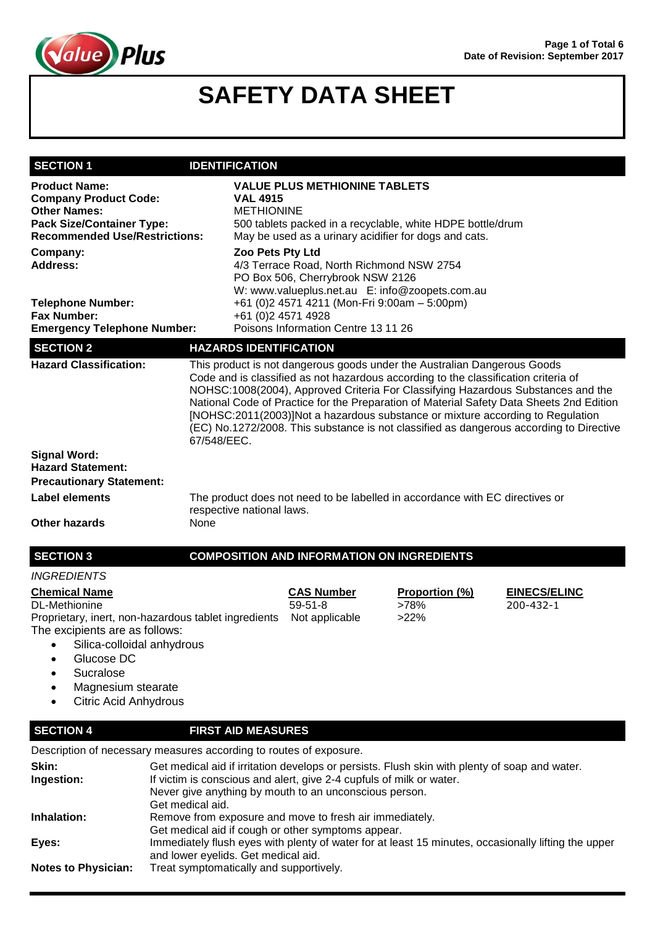

| <b>SECTION 1</b>                                                                                                                                                                                                                                      | <b>IDENTIFICATION</b>                                                                                                                                                                                                                               |                                                                                                                                                     |                                                                                                                                                                                                                                                   |                                                                                                                                                                                                                                                                         |
|-------------------------------------------------------------------------------------------------------------------------------------------------------------------------------------------------------------------------------------------------------|-----------------------------------------------------------------------------------------------------------------------------------------------------------------------------------------------------------------------------------------------------|-----------------------------------------------------------------------------------------------------------------------------------------------------|---------------------------------------------------------------------------------------------------------------------------------------------------------------------------------------------------------------------------------------------------|-------------------------------------------------------------------------------------------------------------------------------------------------------------------------------------------------------------------------------------------------------------------------|
| <b>Product Name:</b><br><b>Company Product Code:</b><br><b>Other Names:</b><br><b>Pack Size/Container Type:</b><br><b>Recommended Use/Restrictions:</b><br>Company:                                                                                   | <b>VAL 4915</b><br><b>METHIONINE</b>                                                                                                                                                                                                                | <b>VALUE PLUS METHIONINE TABLETS</b><br>May be used as a urinary acidifier for dogs and cats.                                                       | 500 tablets packed in a recyclable, white HDPE bottle/drum                                                                                                                                                                                        |                                                                                                                                                                                                                                                                         |
| <b>Address:</b>                                                                                                                                                                                                                                       |                                                                                                                                                                                                                                                     | Zoo Pets Pty Ltd<br>4/3 Terrace Road, North Richmond NSW 2754<br>PO Box 506, Cherrybrook NSW 2126<br>W: www.valueplus.net.au E: info@zoopets.com.au |                                                                                                                                                                                                                                                   |                                                                                                                                                                                                                                                                         |
| <b>Telephone Number:</b><br><b>Fax Number:</b><br><b>Emergency Telephone Number:</b>                                                                                                                                                                  | +61 (0)2 4571 4928                                                                                                                                                                                                                                  | +61 (0)2 4571 4211 (Mon-Fri 9:00am - 5:00pm)<br>Poisons Information Centre 13 11 26                                                                 |                                                                                                                                                                                                                                                   |                                                                                                                                                                                                                                                                         |
| <b>SECTION 2</b>                                                                                                                                                                                                                                      | <b>HAZARDS IDENTIFICATION</b>                                                                                                                                                                                                                       |                                                                                                                                                     |                                                                                                                                                                                                                                                   |                                                                                                                                                                                                                                                                         |
| <b>Hazard Classification:</b>                                                                                                                                                                                                                         | 67/548/EEC.                                                                                                                                                                                                                                         |                                                                                                                                                     | This product is not dangerous goods under the Australian Dangerous Goods<br>Code and is classified as not hazardous according to the classification criteria of<br>[NOHSC:2011(2003)]Not a hazardous substance or mixture according to Regulation | NOHSC:1008(2004), Approved Criteria For Classifying Hazardous Substances and the<br>National Code of Practice for the Preparation of Material Safety Data Sheets 2nd Edition<br>(EC) No.1272/2008. This substance is not classified as dangerous according to Directive |
| <b>Signal Word:</b>                                                                                                                                                                                                                                   |                                                                                                                                                                                                                                                     |                                                                                                                                                     |                                                                                                                                                                                                                                                   |                                                                                                                                                                                                                                                                         |
| <b>Hazard Statement:</b><br><b>Precautionary Statement:</b>                                                                                                                                                                                           |                                                                                                                                                                                                                                                     |                                                                                                                                                     |                                                                                                                                                                                                                                                   |                                                                                                                                                                                                                                                                         |
| <b>Label elements</b>                                                                                                                                                                                                                                 |                                                                                                                                                                                                                                                     |                                                                                                                                                     | The product does not need to be labelled in accordance with EC directives or                                                                                                                                                                      |                                                                                                                                                                                                                                                                         |
|                                                                                                                                                                                                                                                       | respective national laws.                                                                                                                                                                                                                           |                                                                                                                                                     |                                                                                                                                                                                                                                                   |                                                                                                                                                                                                                                                                         |
| <b>Other hazards</b>                                                                                                                                                                                                                                  | None                                                                                                                                                                                                                                                |                                                                                                                                                     |                                                                                                                                                                                                                                                   |                                                                                                                                                                                                                                                                         |
| <b>SECTION 3</b>                                                                                                                                                                                                                                      |                                                                                                                                                                                                                                                     | <b>COMPOSITION AND INFORMATION ON INGREDIENTS</b>                                                                                                   |                                                                                                                                                                                                                                                   |                                                                                                                                                                                                                                                                         |
| <b>INGREDIENTS</b>                                                                                                                                                                                                                                    |                                                                                                                                                                                                                                                     |                                                                                                                                                     |                                                                                                                                                                                                                                                   |                                                                                                                                                                                                                                                                         |
| <b>Chemical Name</b><br><b>DL-Methionine</b><br>Proprietary, inert, non-hazardous tablet ingredients<br>The excipients are as follows:<br>Silica-colloidal anhydrous<br>Glucose DC<br>Sucralose<br>Magnesium stearate<br><b>Citric Acid Anhydrous</b> |                                                                                                                                                                                                                                                     | <b>CAS Number</b><br>$59 - 51 - 8$<br>Not applicable                                                                                                | Proportion (%)<br>>78%<br>>22%                                                                                                                                                                                                                    | <b>EINECS/ELINC</b><br>200-432-1                                                                                                                                                                                                                                        |
| <b>SECTION 4</b>                                                                                                                                                                                                                                      | <b>FIRST AID MEASURES</b>                                                                                                                                                                                                                           |                                                                                                                                                     |                                                                                                                                                                                                                                                   |                                                                                                                                                                                                                                                                         |
| Description of necessary measures according to routes of exposure.                                                                                                                                                                                    |                                                                                                                                                                                                                                                     |                                                                                                                                                     |                                                                                                                                                                                                                                                   |                                                                                                                                                                                                                                                                         |
| Skin:<br>Ingestion:                                                                                                                                                                                                                                   | Get medical aid if irritation develops or persists. Flush skin with plenty of soap and water.<br>If victim is conscious and alert, give 2-4 cupfuls of milk or water.<br>Never give anything by mouth to an unconscious person.<br>Get medical aid. |                                                                                                                                                     |                                                                                                                                                                                                                                                   |                                                                                                                                                                                                                                                                         |
| Inhalation:                                                                                                                                                                                                                                           |                                                                                                                                                                                                                                                     | Remove from exposure and move to fresh air immediately.                                                                                             |                                                                                                                                                                                                                                                   |                                                                                                                                                                                                                                                                         |
| Eyes:                                                                                                                                                                                                                                                 | Get medical aid if cough or other symptoms appear.<br>Immediately flush eyes with plenty of water for at least 15 minutes, occasionally lifting the upper                                                                                           |                                                                                                                                                     |                                                                                                                                                                                                                                                   |                                                                                                                                                                                                                                                                         |

and lower eyelids. Get medical aid.

**Notes to Physician:** Treat symptomatically and supportively.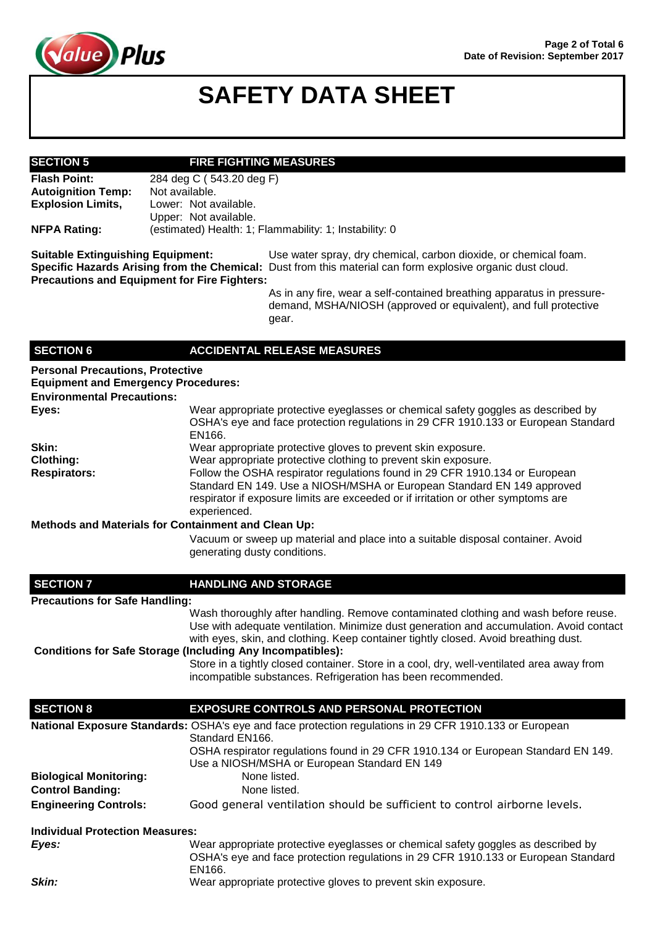

### **SECTION 5 FIRE FIGHTING MEASURES**

**Flash Point:** 284 deg C ( 543.20 deg F) **Autoignition Temp:** Not available. **Explosion Limits,** Lower: Not available. Upper: Not available. **NFPA Rating:** (estimated) Health: 1; Flammability: 1; Instability: 0

**Suitable Extinguishing Equipment:** Use water spray, dry chemical, carbon dioxide, or chemical foam. **Specific Hazards Arising from the Chemical:** Dust from this material can form explosive organic dust cloud. **Precautions and Equipment for Fire Fighters:**

> As in any fire, wear a self-contained breathing apparatus in pressuredemand, MSHA/NIOSH (approved or equivalent), and full protective gear.

### **SECTION 6 ACCIDENTAL RELEASE MEASURES**

| <b>Personal Precautions, Protective</b><br><b>Equipment and Emergency Procedures:</b><br><b>Environmental Precautions:</b> |                                                                                                                                                                                                                                                            |
|----------------------------------------------------------------------------------------------------------------------------|------------------------------------------------------------------------------------------------------------------------------------------------------------------------------------------------------------------------------------------------------------|
| Eyes:                                                                                                                      | Wear appropriate protective eyeglasses or chemical safety goggles as described by<br>OSHA's eye and face protection regulations in 29 CFR 1910.133 or European Standard<br>EN166.                                                                          |
| Skin:                                                                                                                      | Wear appropriate protective gloves to prevent skin exposure.                                                                                                                                                                                               |
| Clothing:                                                                                                                  | Wear appropriate protective clothing to prevent skin exposure.                                                                                                                                                                                             |
| <b>Respirators:</b>                                                                                                        | Follow the OSHA respirator regulations found in 29 CFR 1910.134 or European<br>Standard EN 149. Use a NIOSH/MSHA or European Standard EN 149 approved<br>respirator if exposure limits are exceeded or if irritation or other symptoms are<br>experienced. |
| <b>Methods and Materials for Containment and Clean Up:</b>                                                                 |                                                                                                                                                                                                                                                            |
|                                                                                                                            | Vacuum or sweep up material and place into a suitable disposal container. Avoid<br>generating dusty conditions.                                                                                                                                            |
| <b>SECTION 7</b>                                                                                                           | <b>HANDLING AND STORAGE</b>                                                                                                                                                                                                                                |

### **Precautions for Safe Handling:**

Wash thoroughly after handling. Remove contaminated clothing and wash before reuse. Use with adequate ventilation. Minimize dust generation and accumulation. Avoid contact with eyes, skin, and clothing. Keep container tightly closed. Avoid breathing dust.

**Conditions for Safe Storage (Including Any Incompatibles):** Store in a tightly closed container. Store in a cool, dry, well-ventilated area away from incompatible substances. Refrigeration has been recommended.

| <b>SECTION 8</b>                       | <b>EXPOSURE CONTROLS AND PERSONAL PROTECTION</b>                                                                                                                                  |
|----------------------------------------|-----------------------------------------------------------------------------------------------------------------------------------------------------------------------------------|
|                                        | National Exposure Standards: OSHA's eye and face protection regulations in 29 CFR 1910.133 or European                                                                            |
|                                        | Standard EN166.                                                                                                                                                                   |
|                                        | OSHA respirator regulations found in 29 CFR 1910.134 or European Standard EN 149.                                                                                                 |
|                                        | Use a NIOSH/MSHA or European Standard EN 149                                                                                                                                      |
| <b>Biological Monitoring:</b>          | None listed.                                                                                                                                                                      |
| <b>Control Banding:</b>                | None listed.                                                                                                                                                                      |
| <b>Engineering Controls:</b>           | Good general ventilation should be sufficient to control airborne levels.                                                                                                         |
| <b>Individual Protection Measures:</b> |                                                                                                                                                                                   |
| Eyes:                                  | Wear appropriate protective eyeglasses or chemical safety goggles as described by<br>OSHA's eye and face protection regulations in 29 CFR 1910.133 or European Standard<br>EN166. |
| Skin:                                  | Wear appropriate protective gloves to prevent skin exposure.                                                                                                                      |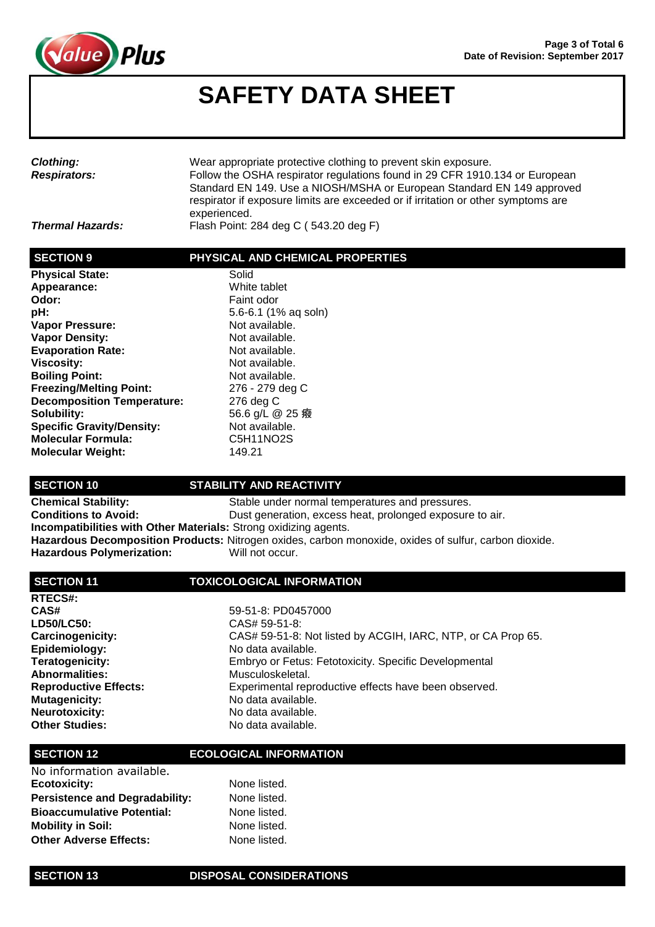

| <b>Clothing:</b><br><b>Respirators:</b> | Wear appropriate protective clothing to prevent skin exposure.<br>Follow the OSHA respirator regulations found in 29 CFR 1910.134 or European<br>Standard EN 149. Use a NIOSH/MSHA or European Standard EN 149 approved<br>respirator if exposure limits are exceeded or if irritation or other symptoms are<br>experienced. |
|-----------------------------------------|------------------------------------------------------------------------------------------------------------------------------------------------------------------------------------------------------------------------------------------------------------------------------------------------------------------------------|
| <b>Thermal Hazards:</b>                 | Flash Point: 284 deg C (543.20 deg F)                                                                                                                                                                                                                                                                                        |

### **SECTION 9 PHYSICAL AND CHEMICAL PROPERTIES**

| <b>Physical State:</b>            | Solid     |
|-----------------------------------|-----------|
| Appearance:                       | White     |
| Odor:                             | Faint     |
| pH:                               | $5.6 - 6$ |
| Vapor Pressure:                   | Not a     |
| <b>Vapor Density:</b>             | Not a     |
| <b>Evaporation Rate:</b>          | Not a     |
| <b>Viscosity:</b>                 | Not a     |
| <b>Boiling Point:</b>             | Not a     |
| <b>Freezing/Melting Point:</b>    | $276 -$   |
| <b>Decomposition Temperature:</b> | ، 276     |
| Solubility:                       | 56.6      |
| <b>Specific Gravity/Density:</b>  | Not a     |
| <b>Molecular Formula:</b>         | C5H'      |
| <b>Molecular Weight:</b>          | 149.2     |

**White tablet Odor:** Faint odor **pH:** 5.6-6.1 (1% aq soln) **Not available. Not available.** Not available. Not available. **Not available. Freezing/Melting Point:** 276 - 279 deg C **Decomposition Temperature:** 276 deg C 56.6 g/L @ 25 癈 Not available. **Molecular Formula:** C5H11NO2S **Molecular Weight:** 149.21

### **SECTION 10 STABILITY AND REACTIVITY**

**Chemical Stability:** Stable under normal temperatures and pressures. **Conditions to Avoid: Dust generation, excess heat, prolonged exposure to air. Incompatibilities with Other Materials:** Strong oxidizing agents. **Hazardous Decomposition Products:** Nitrogen oxides, carbon monoxide, oxides of sulfur, carbon dioxide. Hazardous Polymerization: Will not occur.

### **SECTION 11 TOXICOLOGICAL INFORMATION**

| RTECS#:                      |
|------------------------------|
| CAS#                         |
| LD50/LC50:                   |
| Carcinogenicity:             |
| Epidemiology:                |
| Teratogenicity:              |
| <b>Abnormalities:</b>        |
| <b>Reproductive Effects:</b> |
| Mutagenicity:                |
| Neurotoxicity:               |
| <b>Other Studies:</b>        |

**CAS#** 59-51-8: PD0457000 **LD50/LC50:** CAS# 59-51-8: CAS# 59-51-8: Not listed by ACGIH, IARC, NTP, or CA Prop 65. **Epidemiology:** No data available. **Teratogenicity:** Embryo or Fetus: Fetotoxicity. Specific Developmental Musculoskeletal. Experimental reproductive effects have been observed. No data available. No data available. **Other Studies:** No data available.

### **SECTION 12 ECOLOGICAL INFORMATION**

| No information available.             |              |
|---------------------------------------|--------------|
| <b>Ecotoxicity:</b>                   | None listed. |
| <b>Persistence and Degradability:</b> | None listed. |
| <b>Bioaccumulative Potential:</b>     | None listed. |
| <b>Mobility in Soil:</b>              | None listed. |
| <b>Other Adverse Effects:</b>         | None listed. |

### **SECTION 13 DISPOSAL CONSIDERATIONS**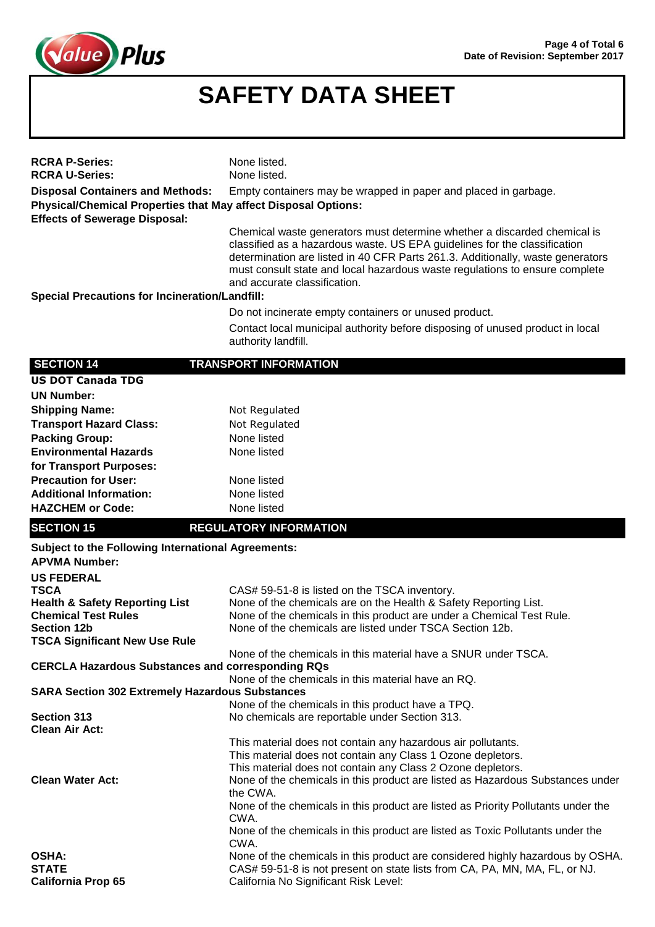

| <b>RCRA P-Series:</b><br><b>RCRA U-Series:</b>                                                                                        | None listed.<br>None listed.                                                                                                                                                                                                                                                                                                                           |
|---------------------------------------------------------------------------------------------------------------------------------------|--------------------------------------------------------------------------------------------------------------------------------------------------------------------------------------------------------------------------------------------------------------------------------------------------------------------------------------------------------|
| <b>Disposal Containers and Methods:</b>                                                                                               | Empty containers may be wrapped in paper and placed in garbage.                                                                                                                                                                                                                                                                                        |
| Physical/Chemical Properties that May affect Disposal Options:<br><b>Effects of Sewerage Disposal:</b>                                |                                                                                                                                                                                                                                                                                                                                                        |
|                                                                                                                                       | Chemical waste generators must determine whether a discarded chemical is<br>classified as a hazardous waste. US EPA guidelines for the classification<br>determination are listed in 40 CFR Parts 261.3. Additionally, waste generators<br>must consult state and local hazardous waste regulations to ensure complete<br>and accurate classification. |
| <b>Special Precautions for Incineration/Landfill:</b>                                                                                 |                                                                                                                                                                                                                                                                                                                                                        |
|                                                                                                                                       | Do not incinerate empty containers or unused product.                                                                                                                                                                                                                                                                                                  |
|                                                                                                                                       | Contact local municipal authority before disposing of unused product in local<br>authority landfill.                                                                                                                                                                                                                                                   |
| <b>SECTION 14</b>                                                                                                                     | <b>TRANSPORT INFORMATION</b>                                                                                                                                                                                                                                                                                                                           |
| <b>US DOT Canada TDG</b>                                                                                                              |                                                                                                                                                                                                                                                                                                                                                        |
| <b>UN Number:</b>                                                                                                                     |                                                                                                                                                                                                                                                                                                                                                        |
| <b>Shipping Name:</b>                                                                                                                 | Not Regulated                                                                                                                                                                                                                                                                                                                                          |
| <b>Transport Hazard Class:</b>                                                                                                        | Not Regulated                                                                                                                                                                                                                                                                                                                                          |
| <b>Packing Group:</b>                                                                                                                 | None listed                                                                                                                                                                                                                                                                                                                                            |
| <b>Environmental Hazards</b>                                                                                                          | None listed                                                                                                                                                                                                                                                                                                                                            |
| for Transport Purposes:                                                                                                               |                                                                                                                                                                                                                                                                                                                                                        |
| <b>Precaution for User:</b><br><b>Additional Information:</b>                                                                         | None listed                                                                                                                                                                                                                                                                                                                                            |
| <b>HAZCHEM or Code:</b>                                                                                                               | None listed<br>None listed                                                                                                                                                                                                                                                                                                                             |
|                                                                                                                                       |                                                                                                                                                                                                                                                                                                                                                        |
| <b>SECTION 15</b>                                                                                                                     | <b>REGULATORY INFORMATION</b>                                                                                                                                                                                                                                                                                                                          |
| <b>Subject to the Following International Agreements:</b><br><b>APVMA Number:</b>                                                     |                                                                                                                                                                                                                                                                                                                                                        |
| <b>US FEDERAL</b>                                                                                                                     |                                                                                                                                                                                                                                                                                                                                                        |
| <b>TSCA</b>                                                                                                                           | CAS# 59-51-8 is listed on the TSCA inventory.                                                                                                                                                                                                                                                                                                          |
| <b>Health &amp; Safety Reporting List</b><br><b>Chemical Test Rules</b><br><b>Section 12b</b><br><b>TSCA Significant New Use Rule</b> | None of the chemicals are on the Health & Safety Reporting List.<br>None of the chemicals in this product are under a Chemical Test Rule.<br>None of the chemicals are listed under TSCA Section 12b.                                                                                                                                                  |
|                                                                                                                                       | None of the chemicals in this material have a SNUR under TSCA.                                                                                                                                                                                                                                                                                         |
| <b>CERCLA Hazardous Substances and corresponding RQs</b>                                                                              |                                                                                                                                                                                                                                                                                                                                                        |
|                                                                                                                                       | None of the chemicals in this material have an RQ.                                                                                                                                                                                                                                                                                                     |
| <b>SARA Section 302 Extremely Hazardous Substances</b>                                                                                |                                                                                                                                                                                                                                                                                                                                                        |
| <b>Section 313</b><br><b>Clean Air Act:</b>                                                                                           | None of the chemicals in this product have a TPQ.<br>No chemicals are reportable under Section 313.                                                                                                                                                                                                                                                    |
|                                                                                                                                       |                                                                                                                                                                                                                                                                                                                                                        |
|                                                                                                                                       |                                                                                                                                                                                                                                                                                                                                                        |
|                                                                                                                                       | This material does not contain any hazardous air pollutants.<br>This material does not contain any Class 1 Ozone depletors.                                                                                                                                                                                                                            |
|                                                                                                                                       | This material does not contain any Class 2 Ozone depletors.                                                                                                                                                                                                                                                                                            |
| <b>Clean Water Act:</b>                                                                                                               | None of the chemicals in this product are listed as Hazardous Substances under                                                                                                                                                                                                                                                                         |
|                                                                                                                                       | the CWA.<br>None of the chemicals in this product are listed as Priority Pollutants under the                                                                                                                                                                                                                                                          |
|                                                                                                                                       | CWA.                                                                                                                                                                                                                                                                                                                                                   |
|                                                                                                                                       | None of the chemicals in this product are listed as Toxic Pollutants under the                                                                                                                                                                                                                                                                         |
|                                                                                                                                       | CWA.                                                                                                                                                                                                                                                                                                                                                   |
| <b>OSHA:</b><br><b>STATE</b>                                                                                                          | None of the chemicals in this product are considered highly hazardous by OSHA.<br>CAS# 59-51-8 is not present on state lists from CA, PA, MN, MA, FL, or NJ.                                                                                                                                                                                           |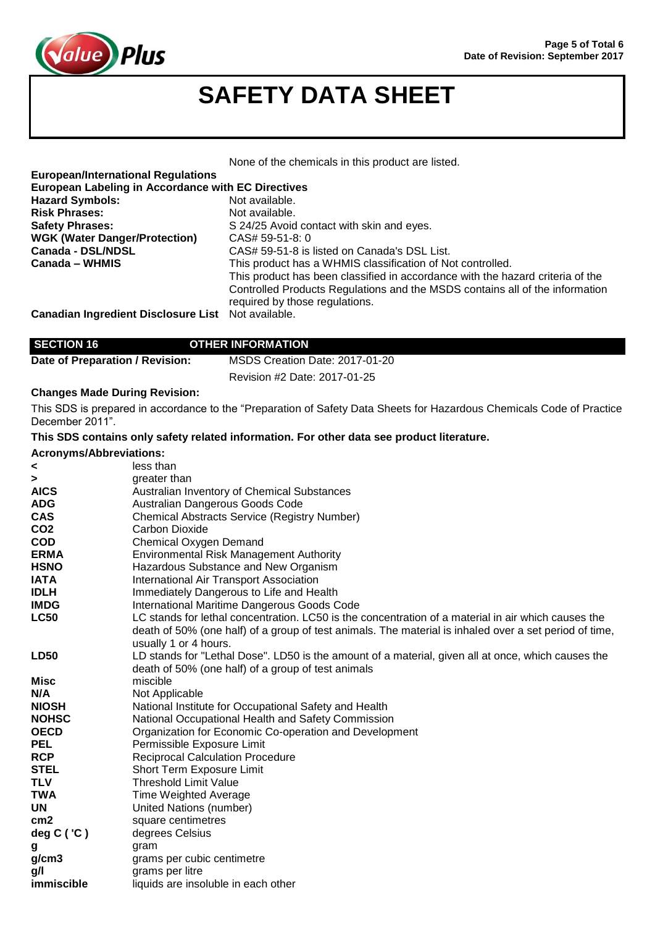

None of the chemicals in this product are listed.

| <b>European/International Regulations</b>                 |                                                                                |
|-----------------------------------------------------------|--------------------------------------------------------------------------------|
| European Labeling in Accordance with EC Directives        |                                                                                |
| <b>Hazard Symbols:</b>                                    | Not available.                                                                 |
| <b>Risk Phrases:</b>                                      | Not available.                                                                 |
| <b>Safety Phrases:</b>                                    | S 24/25 Avoid contact with skin and eyes.                                      |
| <b>WGK (Water Danger/Protection)</b>                      | CAS# 59-51-8: 0                                                                |
| Canada - DSL/NDSL                                         | CAS# 59-51-8 is listed on Canada's DSL List.                                   |
| Canada – WHMIS                                            | This product has a WHMIS classification of Not controlled.                     |
|                                                           | This product has been classified in accordance with the hazard criteria of the |
|                                                           | Controlled Products Regulations and the MSDS contains all of the information   |
|                                                           | required by those regulations.                                                 |
| <b>Canadian Ingredient Disclosure List</b> Not available. |                                                                                |

## **SECTION 16 OTHER INFORMATION**

| Date of Preparation / Revision: | MSDS Creation Date: 2017-01-20 |  |  |
|---------------------------------|--------------------------------|--|--|
|                                 | Revision #2 Date: 2017-01-25   |  |  |

## **Changes Made During Revision:**

This SDS is prepared in accordance to the "Preparation of Safety Data Sheets for Hazardous Chemicals Code of Practice December 2011".

| This SDS contains only safety related information. For other data see product literature. |  |  |  |
|-------------------------------------------------------------------------------------------|--|--|--|
|                                                                                           |  |  |  |

## **Acronyms/Abbreviations:**

| AUI VII JII ISI ANNI GYIQUUIS. |                                                                                                        |
|--------------------------------|--------------------------------------------------------------------------------------------------------|
| <                              | less than                                                                                              |
| ⋗                              | greater than                                                                                           |
| <b>AICS</b>                    | Australian Inventory of Chemical Substances                                                            |
| <b>ADG</b>                     | Australian Dangerous Goods Code                                                                        |
| <b>CAS</b>                     | <b>Chemical Abstracts Service (Registry Number)</b>                                                    |
| CO <sub>2</sub>                | <b>Carbon Dioxide</b>                                                                                  |
| <b>COD</b>                     | Chemical Oxygen Demand                                                                                 |
| <b>ERMA</b>                    | <b>Environmental Risk Management Authority</b>                                                         |
| <b>HSNO</b>                    | Hazardous Substance and New Organism                                                                   |
| <b>IATA</b>                    | International Air Transport Association                                                                |
| <b>IDLH</b>                    | Immediately Dangerous to Life and Health                                                               |
| <b>IMDG</b>                    | International Maritime Dangerous Goods Code                                                            |
| <b>LC50</b>                    | LC stands for lethal concentration. LC50 is the concentration of a material in air which causes the    |
|                                | death of 50% (one half) of a group of test animals. The material is inhaled over a set period of time, |
|                                | usually 1 or 4 hours.                                                                                  |
| <b>LD50</b>                    | LD stands for "Lethal Dose". LD50 is the amount of a material, given all at once, which causes the     |
|                                | death of 50% (one half) of a group of test animals                                                     |
| Misc                           | miscible                                                                                               |
| N/A                            | Not Applicable                                                                                         |
| <b>NIOSH</b>                   | National Institute for Occupational Safety and Health                                                  |
| <b>NOHSC</b>                   | National Occupational Health and Safety Commission                                                     |
| <b>OECD</b>                    | Organization for Economic Co-operation and Development                                                 |
| <b>PEL</b>                     | Permissible Exposure Limit                                                                             |
| <b>RCP</b>                     | <b>Reciprocal Calculation Procedure</b>                                                                |
| <b>STEL</b>                    | Short Term Exposure Limit                                                                              |
| <b>TLV</b>                     | <b>Threshold Limit Value</b>                                                                           |
| <b>TWA</b>                     | <b>Time Weighted Average</b>                                                                           |
| <b>UN</b>                      | United Nations (number)                                                                                |
| cm <sub>2</sub>                | square centimetres                                                                                     |
| deg $C('C')$                   | degrees Celsius                                                                                        |
| g                              | gram                                                                                                   |
| g/cm3                          | grams per cubic centimetre                                                                             |
| g/l                            | grams per litre                                                                                        |
| immiscible                     | liquids are insoluble in each other                                                                    |